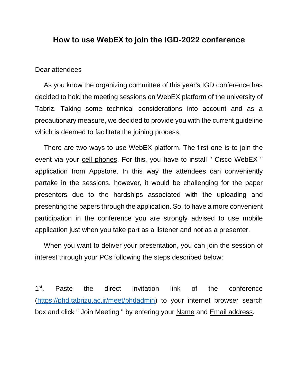## **How to use WebEX to join the IGD-2022 conference**

## Dear attendees

As you know the organizing committee of this year's IGD conference has decided to hold the meeting sessions on WebEX platform of the university of Tabriz. Taking some technical considerations into account and as a precautionary measure, we decided to provide you with the current guideline which is deemed to facilitate the joining process.

There are two ways to use WebEX platform. The first one is to join the event via your cell phones. For this, you have to install " Cisco WebEX " application from Appstore. In this way the attendees can conveniently partake in the sessions, however, it would be challenging for the paper presenters due to the hardships associated with the uploading and presenting the papers through the application. So, to have a more convenient participation in the conference you are strongly advised to use mobile application just when you take part as a listener and not as a presenter.

When you want to deliver your presentation, you can join the session of interest through your PCs following the steps described below:

1 st . Paste the direct invitation link of the conference [\(https://phd.tabrizu.ac.ir/meet/phdadmin\)](https://phd.tabrizu.ac.ir/meet/phdadmin) to your internet browser search box and click " Join Meeting " by entering your Name and Email address.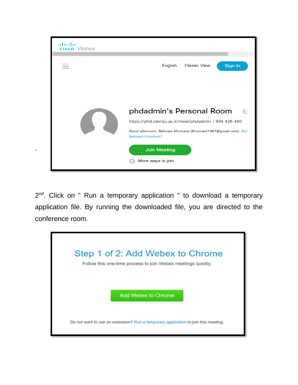

2<sup>nd</sup>. Click on " Run a temporary application " to download a temporary application file. By running the downloaded file, you are directed to the conference room.

.

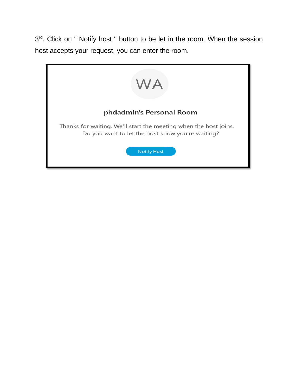3<sup>rd</sup>. Click on " Notify host " button to be let in the room. When the session host accepts your request, you can enter the room.